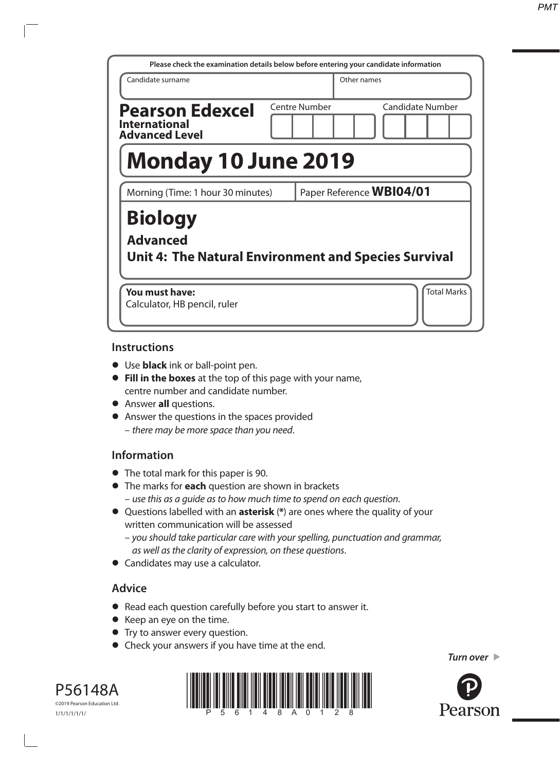|                                                                                                  | Please check the examination details below before entering your candidate information |  |
|--------------------------------------------------------------------------------------------------|---------------------------------------------------------------------------------------|--|
| Candidate surname                                                                                | Other names                                                                           |  |
| <b>Pearson Edexcel</b><br><b>International</b><br><b>Advanced Level</b>                          | Centre Number<br><b>Candidate Number</b>                                              |  |
| <b>Monday 10 June 2019</b>                                                                       |                                                                                       |  |
| Morning (Time: 1 hour 30 minutes)                                                                | Paper Reference <b>WBI04/01</b>                                                       |  |
| <b>Biology</b><br><b>Advanced</b><br><b>Unit 4: The Natural Environment and Species Survival</b> |                                                                                       |  |
| You must have:<br>Calculator, HB pencil, ruler                                                   | <b>Total Marks</b>                                                                    |  |

## **Instructions**

- **•** Use **black** ink or ball‑point pen.
- **• Fill in the boxes** at the top of this page with your name, centre number and candidate number.
- **•** Answer **all** questions.
- **•** Answer the questions in the spaces provided – *there may be more space than you need*.

# **Information**

- **•** The total mark for this paper is 90.
- **•** The marks for **each** question are shown in brackets – *use this as a guide as to how much time to spend on each question*.
- **•** Questions labelled with an **asterisk** (**\***) are ones where the quality of your written communication will be assessed
	- *you should take particular care with your spelling, punctuation and grammar, as well as the clarity of expression, on these questions*.
- **•** Candidates may use a calculator.

# **Advice**

- **•** Read each question carefully before you start to answer it.
- **•** Keep an eye on the time.
- **•** Try to answer every question.
- **•** Check your answers if you have time at the end.







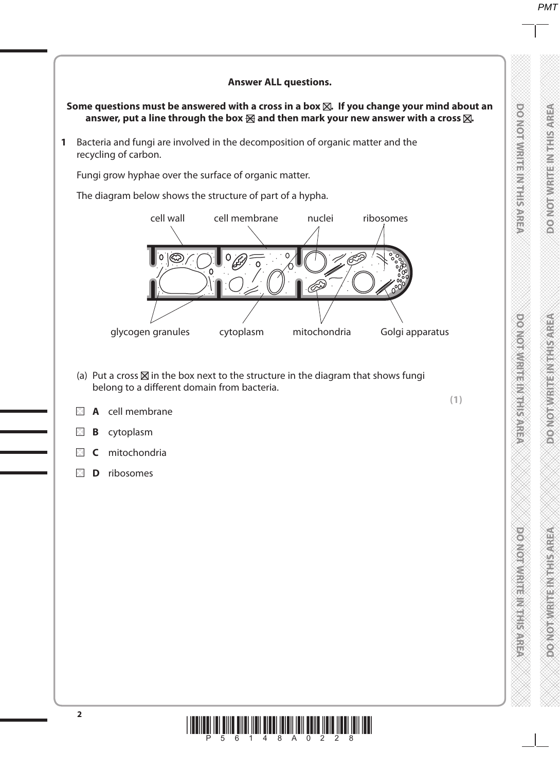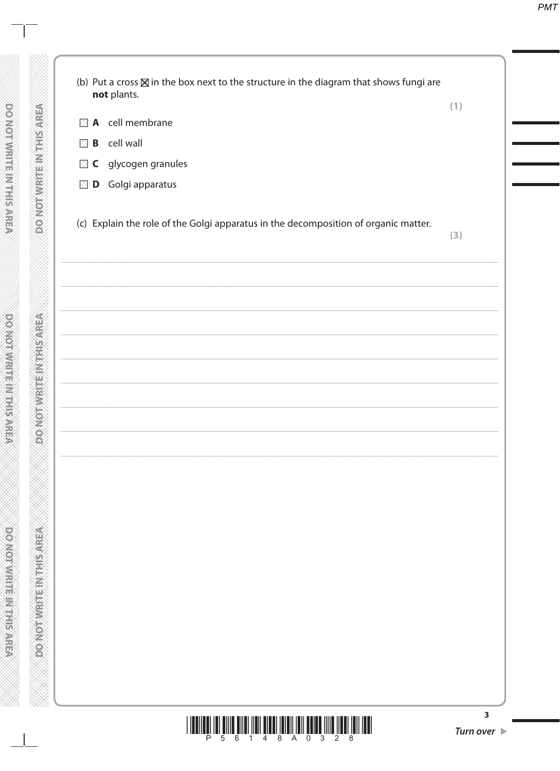PMT

| (b) Put a cross $\boxtimes$ in the box next to the structure in the diagram that shows fungi are<br>not plants.<br>A cell membrane | (1) |  |
|------------------------------------------------------------------------------------------------------------------------------------|-----|--|
| $\blacksquare$ <b>B</b> cell wall                                                                                                  |     |  |
| $\blacksquare$ C glycogen granules<br>D Golgi apparatus                                                                            |     |  |
| (c) Explain the role of the Golgi apparatus in the decomposition of organic matter.                                                | (3) |  |
|                                                                                                                                    |     |  |
|                                                                                                                                    |     |  |
|                                                                                                                                    |     |  |
|                                                                                                                                    |     |  |
|                                                                                                                                    |     |  |
|                                                                                                                                    |     |  |
|                                                                                                                                    |     |  |
|                                                                                                                                    |     |  |
|                                                                                                                                    |     |  |
|                                                                                                                                    |     |  |
|                                                                                                                                    |     |  |
|                                                                                                                                    |     |  |
|                                                                                                                                    |     |  |
|                                                                                                                                    |     |  |
|                                                                                                                                    |     |  |
|                                                                                                                                    | 3   |  |

 $\mathbb{R}^n$ 

DO NOT WRITE INTHIS AREA

poworwarency Market

**DOOMALISTICS MEETING** 

Þ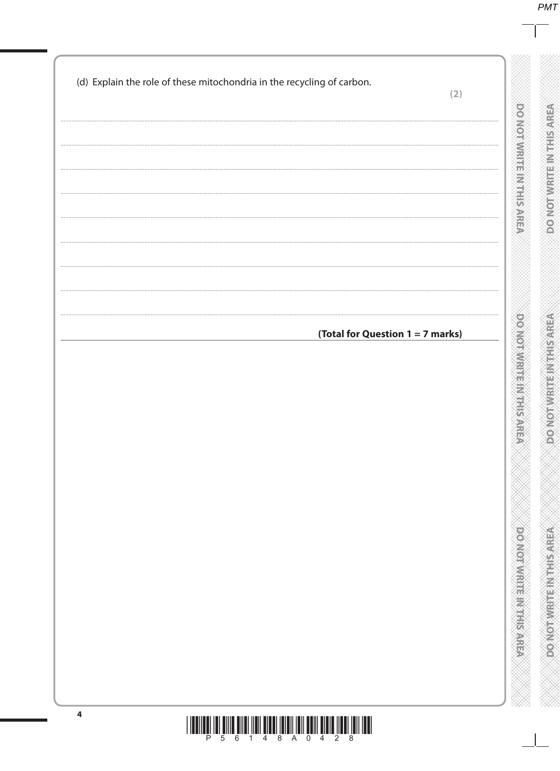XXX

| (d) Explain the role of these mitochondria in the recycling of carbon.<br>(2) | ponomy and the more completed                                                         |
|-------------------------------------------------------------------------------|---------------------------------------------------------------------------------------|
| (Total for Question 1 = 7 marks)                                              | <b>PONDIANI</b>                                                                       |
|                                                                               | c<br><b>8</b><br>$\mathbf{\Omega}$<br>C.<br>El<br>競<br>ÊÈ<br>军队<br>č<br>ri<br>Su<br>ò |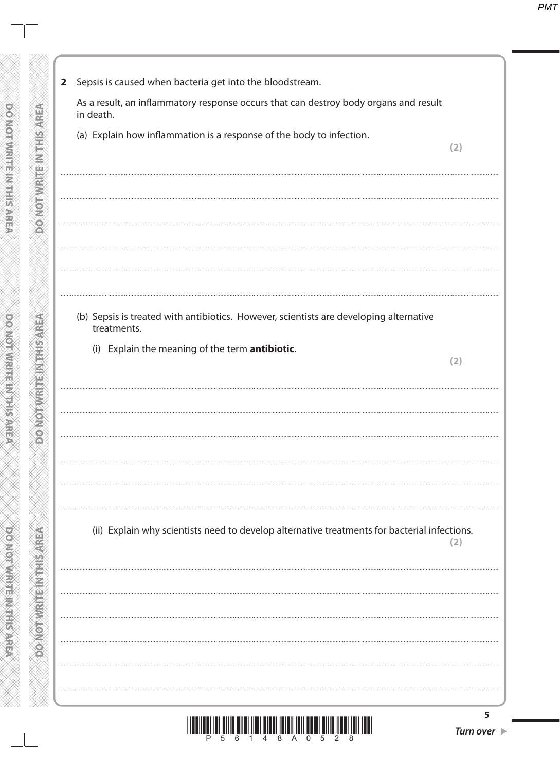| Sepsis is caused when bacteria get into the bloodstream.<br>As a result, an inflammatory response occurs that can destroy body organs and result |     |
|--------------------------------------------------------------------------------------------------------------------------------------------------|-----|
| in death.                                                                                                                                        |     |
| (a) Explain how inflammation is a response of the body to infection.                                                                             | (2) |
|                                                                                                                                                  |     |
|                                                                                                                                                  |     |
|                                                                                                                                                  |     |
|                                                                                                                                                  |     |
|                                                                                                                                                  |     |
|                                                                                                                                                  |     |
|                                                                                                                                                  |     |
| (b) Sepsis is treated with antibiotics. However, scientists are developing alternative<br>treatments.                                            |     |
| (i) Explain the meaning of the term antibiotic.                                                                                                  |     |
|                                                                                                                                                  | (2) |
|                                                                                                                                                  |     |
|                                                                                                                                                  |     |
|                                                                                                                                                  |     |
|                                                                                                                                                  |     |
|                                                                                                                                                  |     |
|                                                                                                                                                  |     |
| (ii) Explain why scientists need to develop alternative treatments for bacterial infections.                                                     | (2) |
|                                                                                                                                                  |     |
|                                                                                                                                                  |     |
|                                                                                                                                                  |     |
|                                                                                                                                                  |     |
|                                                                                                                                                  |     |
|                                                                                                                                                  |     |

 $\mathbf{L}$ 

DO NOTWRITE IN THIS AREA

**DONOLMENT HIS NUMBER** 

**PONTOVICITY MERICAN REAL** 

※

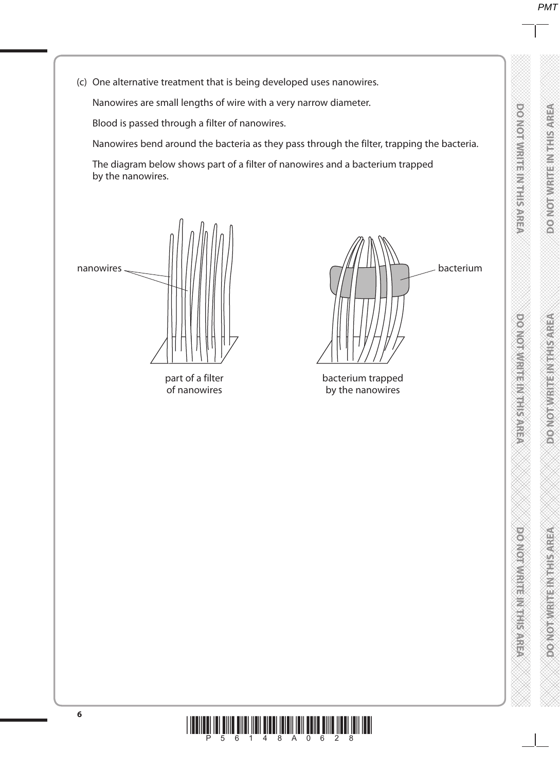**DO NOT WRITE IN THIS AREA**

**DO NOTWRITEINTH SWITCH** 

**DOO NOTAWATE IN HIS AREA** 

**DO NOT WRITE IN THIS AREA**

医无阴

**BEET AND RESIDENT** 

**DO NOT WRITE IN THIS AREA DO NOT WRITE IN THIS AREA DO NOT WRITE IN THIS AREA**

**PONOTHER RESIDENCE** 

(c) One alternative treatment that is being developed uses nanowires.

Nanowires are small lengths of wire with a very narrow diameter.

Blood is passed through a filter of nanowires.

Nanowires bend around the bacteria as they pass through the filter, trapping the bacteria.

 The diagram below shows part of a filter of nanowires and a bacterium trapped by the nanowires.

part of a filter

of nanowires



bacterium trapped by the nanowires

> **DO NOT WRITE IN THIS AREA**

 $\frac{1}{\alpha}$ 

**DOALORMARY STARFSOLIO** 

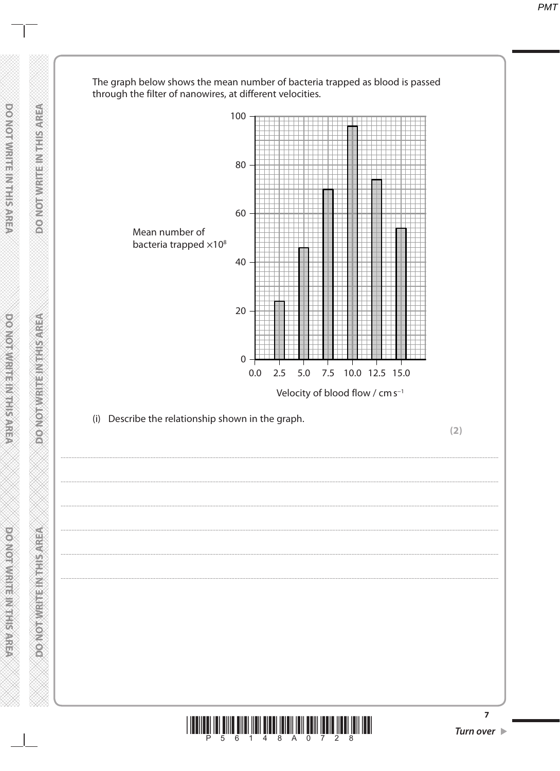

**DOINOT WRITE INTHIS AREA** 

**ONOTWRITEINTHSARE** 

**DOMOTOWRED WEBSTARTED**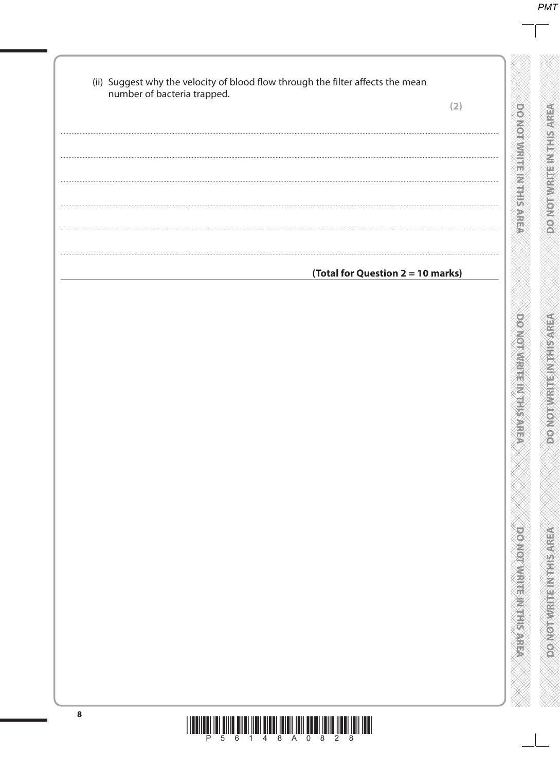(ii) Suggest why the velocity of blood flow through the filter affects the mean number of bacteria trapped.  $(2)$ **DONOTWRITE IN THIS AREA** (Total for Question 2 = 10 marks) **DOMOROM WEBSTERN STREET PONORMETRISTS** 

**PMT** 

**DO NOT WRITE IN THIS AREA** 

**DONOTWEITEINTHISAREA** 

**DO NOTWERPINTHIS AREA** 

#### ║ Ш <u>III ÎME ÊMEÎ ÎME ÎLERÊME ÎLERÊME ÎLERÊM</u> P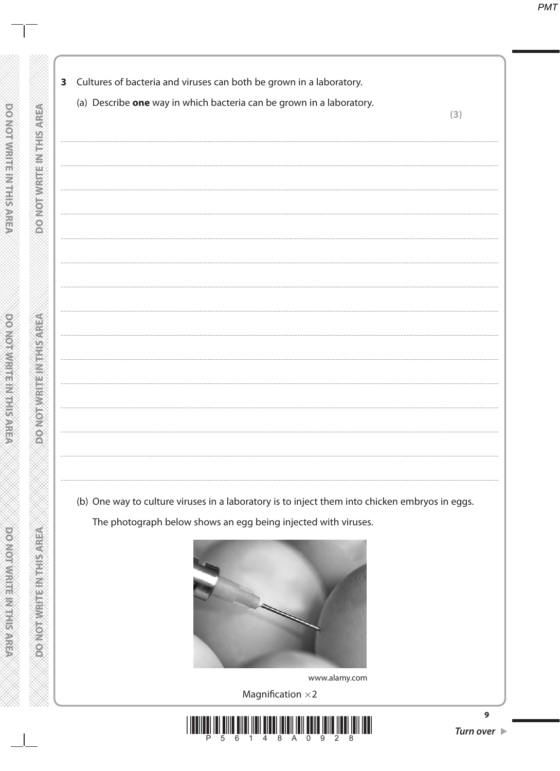- 3 Cultures of bacteria and viruses can both be grown in a laboratory.
	- (a) Describe one way in which bacteria can be grown in a laboratory.

(b) One way to culture viruses in a laboratory is to inject them into chicken embryos in eggs.

The photograph below shows an egg being injected with viruses.



www.alamy.com

Magnification  $\times 2$ 



**DOMOTWRITEINTHISMREA** 

**WE FIRST THE NEW YORKS** 

**CONCORD** 

**POMOTOMREMENTS!** 

**ONOTWRITEINTEINSARE**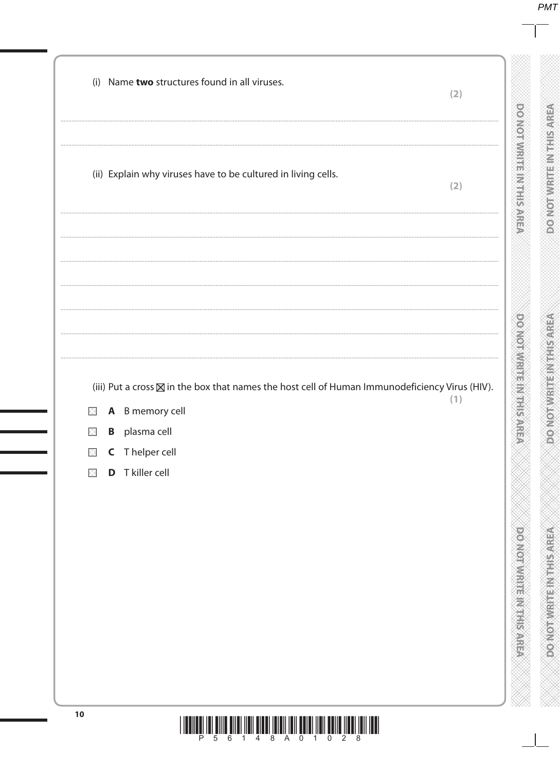PMT

|                                                                                                                                                                                                                                | 霞                    | <b>REPARE IN REPORT OF A CONTROL</b> |
|--------------------------------------------------------------------------------------------------------------------------------------------------------------------------------------------------------------------------------|----------------------|--------------------------------------|
| (iii) Put a cross ⊠ in the box that names the host cell of Human Immunodeficiency Virus (HIV).<br>(1)<br><b>A</b> B memory cell<br><b>B</b> plasma cell<br>T helper cell<br>$\times$<br>C<br>T killer cell<br>D<br>$\boxtimes$ | $\bullet$<br>i.<br>L | ő                                    |
| (ii) Explain why viruses have to be cultured in living cells.<br>(2)                                                                                                                                                           | <b>HIS AREA</b>      | <b>DONORWERNER STREET</b>            |
| (i) Name two structures found in all viruses.<br>(2)                                                                                                                                                                           | <b>DONOINNER</b>     |                                      |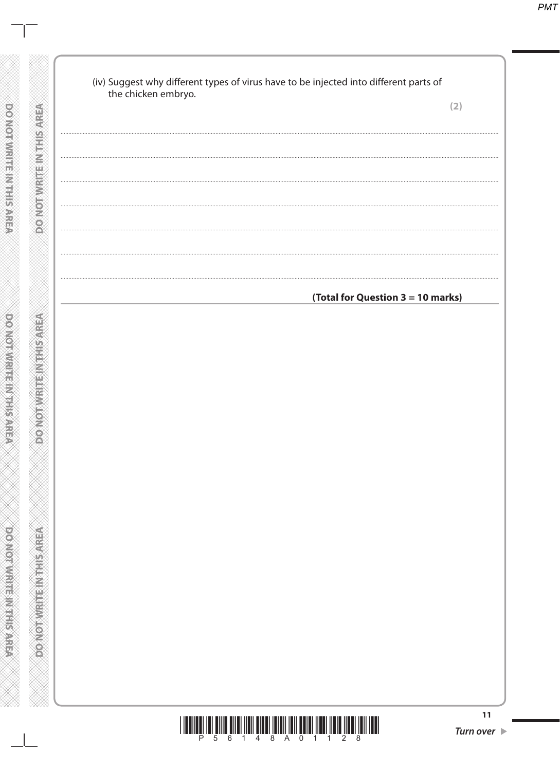|                                  | (iv) Suggest why different types of virus have to be injected into different parts of |     |
|----------------------------------|---------------------------------------------------------------------------------------|-----|
| <b>DOMOT WRITEINTHIS AREA</b>    | the chicken embryo.                                                                   | (2) |
|                                  |                                                                                       |     |
|                                  |                                                                                       |     |
|                                  |                                                                                       |     |
|                                  |                                                                                       |     |
|                                  |                                                                                       |     |
|                                  |                                                                                       |     |
|                                  |                                                                                       |     |
|                                  |                                                                                       |     |
|                                  | (Total for Question 3 = 10 marks)                                                     |     |
|                                  |                                                                                       |     |
|                                  |                                                                                       |     |
|                                  |                                                                                       |     |
|                                  |                                                                                       |     |
| <b>ABRACER MARINES MARION</b>    |                                                                                       |     |
|                                  |                                                                                       |     |
|                                  |                                                                                       |     |
|                                  |                                                                                       |     |
|                                  |                                                                                       |     |
|                                  |                                                                                       |     |
|                                  |                                                                                       |     |
|                                  |                                                                                       |     |
|                                  |                                                                                       |     |
|                                  |                                                                                       |     |
|                                  |                                                                                       |     |
| <b>DO NOT WRITE IN THIS AREA</b> |                                                                                       |     |
|                                  |                                                                                       |     |
|                                  |                                                                                       |     |
|                                  |                                                                                       |     |
|                                  |                                                                                       | 11  |

DOMOTWRITE IN THIS AREA

DOOKORMEENVIEHS AREA

**DO NOTIVIRUE IN THIS AREA** 

Turn over  $\blacktriangleright$ 

PMT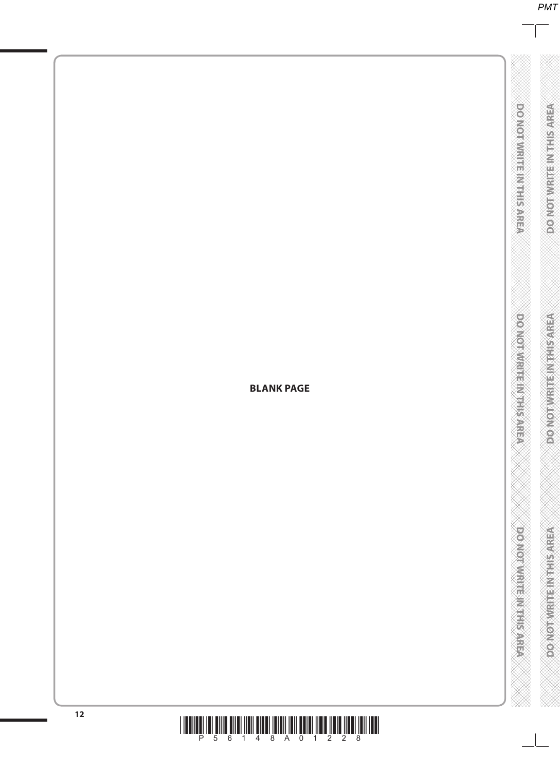**DO NOT WRITE IN THIS AREA**

**DO NOT WRITE IN THIS AREA** 

DO NOTWRITE IN THIS AREA

**DO NOT WRITE IN THIS AREA**

**DOMOTIVISTISTISTISTIST** 

**DO NOT WRITE IN THIS AREA DO NOT WRITE IN THIS AREA DO NOT WRITE IN THIS AREA**

**DONOTWERE NITHS AREA** 

**DO NOT WRITE IN THIS AREA**

**DO NOT WRITE INTHIS AREA** 

**DOMOTOWRITE IN THIS AREA** 

**BLANK PAGE**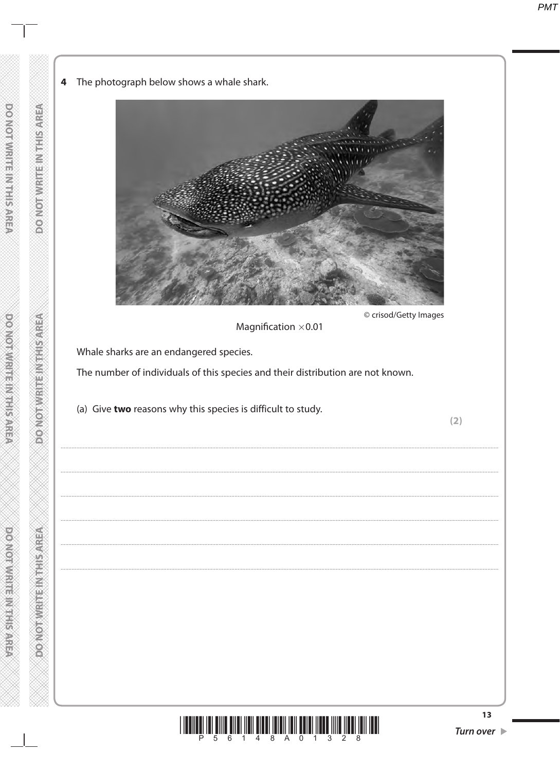The photograph below shows a whale shark.  $\overline{\mathbf{4}}$ 



Whale sharks are an endangered species.

The number of individuals of this species and their distribution are not known.

(a) Give two reasons why this species is difficult to study.

 $(2)$ 



**DOMOTWRITEINTHISMREA** 

**ONOINRIFINENSARE** 

**ALL SOCIETY** 

Ż

ř Œ

ö

 $\frac{6}{10}$ 

Ø € Ż n<br>E 

Õ

**DOMOTOWRED WEBSTARTED**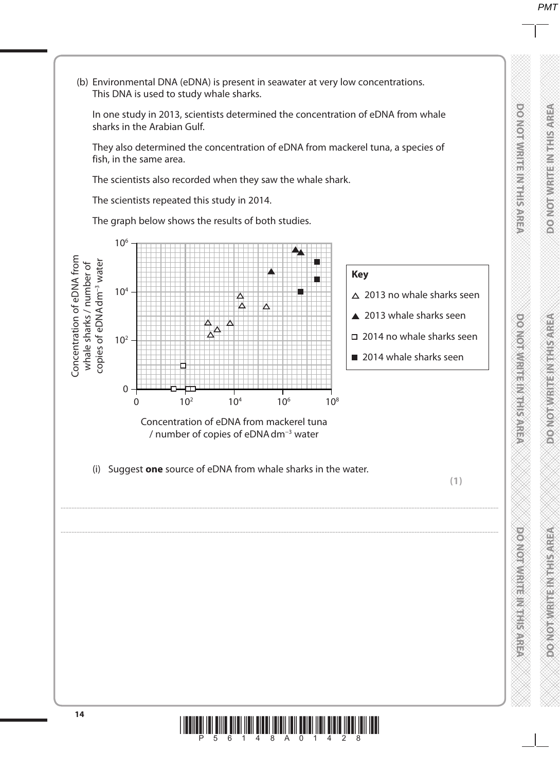**DO NOT WRITE IN THIS AREA**

**DONOIANT SERVICE STREET** 

**PONTO RUSSIAN STATE** 

**DO NOT WRITE IN THIS AREA**

ri<br>J



(b) Environmental DNA (eDNA) is present in seawater at very low concentrations.

This DNA is used to study whale sharks.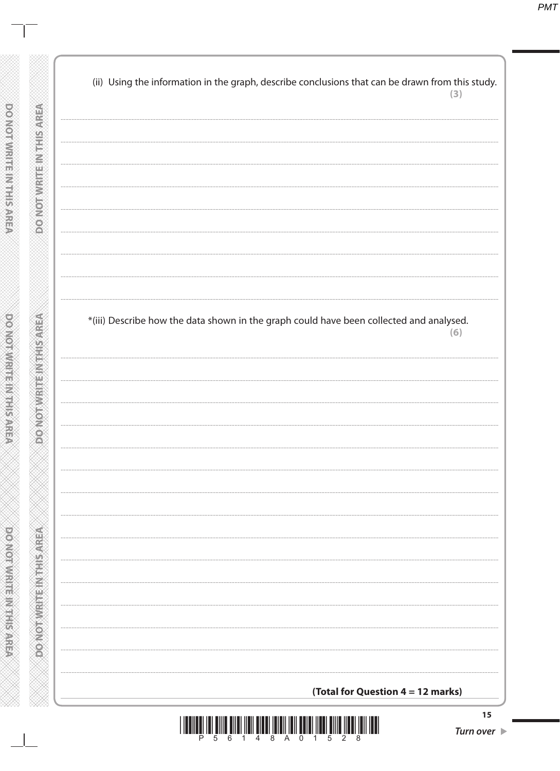| (ii) Using the information in the graph, describe conclusions that can be drawn from this study. | (3) |
|--------------------------------------------------------------------------------------------------|-----|
|                                                                                                  |     |
|                                                                                                  |     |
|                                                                                                  |     |
|                                                                                                  |     |
|                                                                                                  |     |
|                                                                                                  |     |
|                                                                                                  |     |
|                                                                                                  |     |
| *(iii) Describe how the data shown in the graph could have been collected and analysed.          |     |
|                                                                                                  | (6) |
|                                                                                                  |     |
|                                                                                                  |     |
|                                                                                                  |     |
|                                                                                                  |     |
|                                                                                                  |     |
|                                                                                                  |     |
|                                                                                                  |     |
|                                                                                                  |     |
|                                                                                                  |     |
|                                                                                                  |     |
|                                                                                                  |     |
|                                                                                                  |     |
|                                                                                                  |     |
|                                                                                                  |     |
|                                                                                                  |     |

 $\mathbf{L}$ 

DO NOT WRITE IN THIS AREA

**DOCKONNERINTHISPAREA** 

**DOOWNAME IN THIS AREA**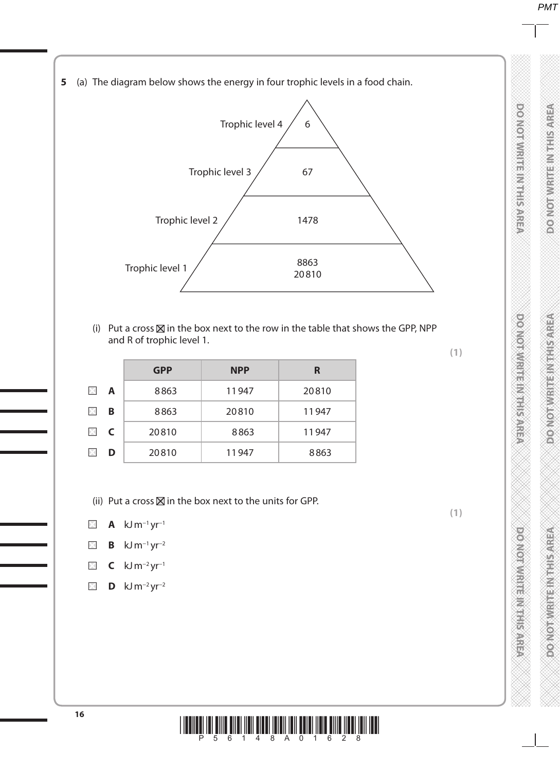**5** (a) The diagram below shows the energy in four trophic levels in a food chain.



(i) Put a cross  $\boxtimes$  in the box next to the row in the table that shows the GPP, NPP and R of trophic level 1.

|              |   | <b>GPP</b> | <b>NPP</b> | R     |
|--------------|---|------------|------------|-------|
| ×            | A | 8863       | 11947      | 20810 |
| X            | B | 8863       | 20810      | 11947 |
| $\mathbb{R}$ | C | 20810      | 8863       | 11947 |
| ÞК           | D | 20810      | 11947      | 8863  |

- (ii) Put a cross  $\boxtimes$  in the box next to the units for GPP.
- **A** kJm−1 yr−1
- **B** kJm−1 yr−2
- **C** kJm−2 yr−1
- **D** kJm−2 yr−2

**(1)**

**(1)**

**DO NOT WRITE IN THIS AREA CONGRESS ENTERTAINMENTS**  **DOMOTHER PRESENTED** 

**DO NOT WRITE IN THIS AREA**

**DO NOT WRITE IN THIS AREA** 

**DO NOTWRITE IN THIS AREA** 

**DO NOT WRITE IN THIS AREA**

**DONOTOWARD IN STREET** 

**<sup>16</sup>** \*P56148A01628\*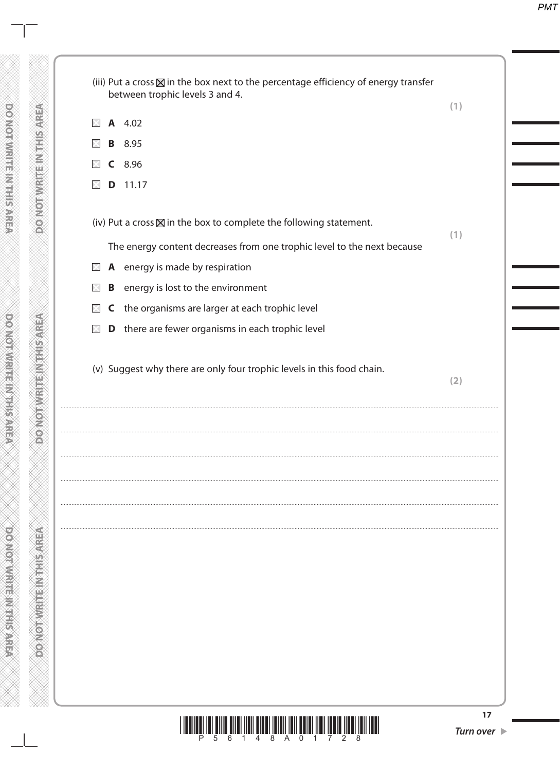| (v) Suggest why there are only four trophic levels in this food chain.<br>(2)                                                                                  |  |
|----------------------------------------------------------------------------------------------------------------------------------------------------------------|--|
| there are fewer organisms in each trophic level<br>$\times$<br>D                                                                                               |  |
| the organisms are larger at each trophic level<br>$\mathsf{C}$<br>$\times$                                                                                     |  |
| energy is lost to the environment<br>B<br>$\times$                                                                                                             |  |
| A energy is made by respiration<br>$\times$                                                                                                                    |  |
| (iv) Put a cross $\boxtimes$ in the box to complete the following statement.<br>(1)<br>The energy content decreases from one trophic level to the next because |  |
| 11.17<br>$\times$<br>D                                                                                                                                         |  |
| $C$ 8.96<br>$\boxtimes$                                                                                                                                        |  |
| B<br>8.95<br>$\boxtimes$                                                                                                                                       |  |
| (1)<br>A 4.02<br>$\boxtimes$                                                                                                                                   |  |
| (iii) Put a cross $\boxtimes$ in the box next to the percentage efficiency of energy transfer<br>between trophic levels 3 and 4.                               |  |

**DO NOT WRITE IN THIS AREA** 

a Ta

**RENEW WEIGHT ON CONGRES** 

concrete in the presence.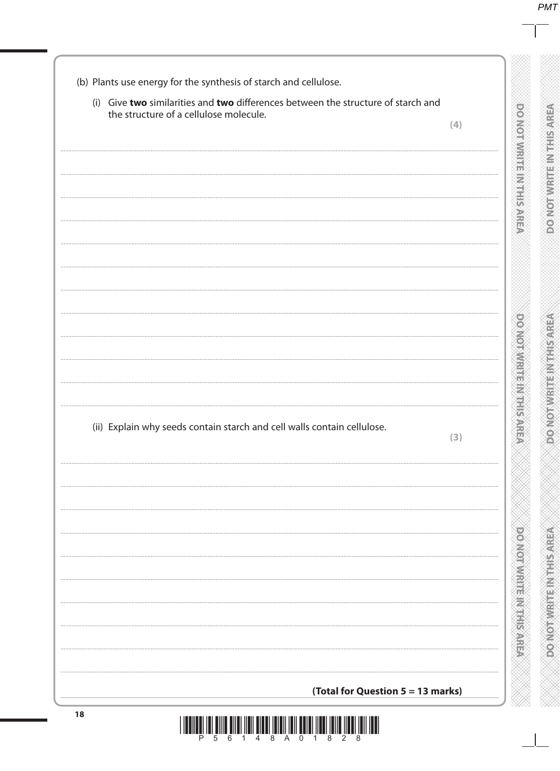| (i) Give two similarities and two differences between the structure of starch and<br>the structure of a cellulose molecule. | CO.<br>(4)         |  |
|-----------------------------------------------------------------------------------------------------------------------------|--------------------|--|
|                                                                                                                             | NORWRITEIN BELGARE |  |
| (ii) Explain why seeds contain starch and cell walls contain cellulose.                                                     |                    |  |
|                                                                                                                             |                    |  |



 $18$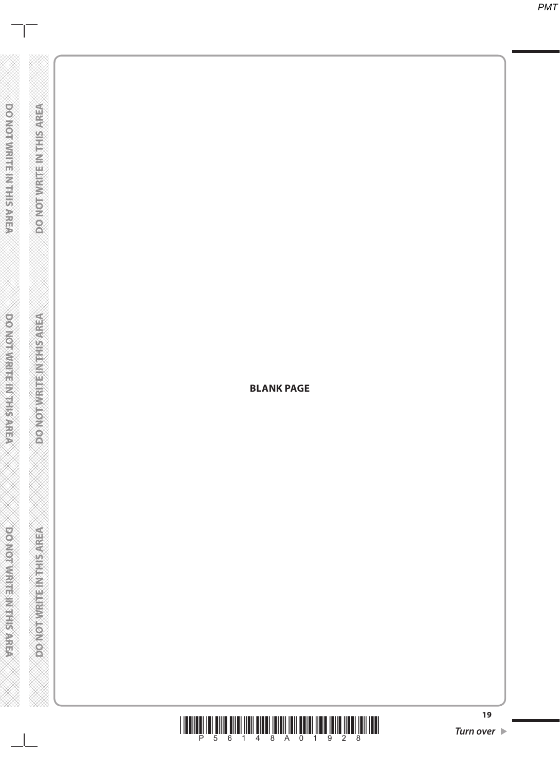| ì                 |
|-------------------|
|                   |
|                   |
| í                 |
| 5                 |
|                   |
|                   |
| i                 |
| ١                 |
|                   |
|                   |
|                   |
| ÷<br>١            |
| ž                 |
|                   |
| <b>CONS</b><br>ì  |
| 5                 |
|                   |
|                   |
| ž.<br>Ì           |
| j                 |
| ينتبه<br>۱        |
| Š<br>Š            |
| ì                 |
|                   |
| )<br>÷<br>ι       |
| ł                 |
|                   |
| Ŕ                 |
| ě<br>ĭ<br>i       |
| ì<br>5<br>Ċ,      |
|                   |
| ì                 |
|                   |
|                   |
|                   |
| ž                 |
|                   |
|                   |
|                   |
|                   |
| Š                 |
| òá                |
| ì<br>í            |
| ý<br>j            |
| Š                 |
| Ž                 |
| 2<br>S            |
|                   |
| $\mathbf{r}$<br>ì |
| ì                 |
| ⋚<br>÷<br>é<br>5  |
| ź<br>۰            |
| 존                 |
| Ņ<br>è<br>i       |
| ì                 |
| Ú٨<br>i,          |
| ì                 |
| ۹                 |
| ž                 |
| p<br>i,           |
| ï                 |
| i                 |
| Š                 |
| ì,                |
| a<br>M<br>í       |
| N,<br>ĭ           |
| Ď<br>í            |
|                   |
|                   |
|                   |
|                   |
|                   |
| 2                 |
|                   |
|                   |

**DO NOTWATER NORON CON** 

**DOMOTHUR HISTORICAL DO NOT WRITE IN THIS AREA**

**DOMOTIVERITE INTERNEED** 

DO NOT WRITE IN THIS AREA **DO NOT WRITE IN THIS AREA**

**DONOTWRITEINTHS AREA DO NOT WRITE IN THIS AREA DO NOT WRITE IN THIS AREA DO NOT WRITE IN THIS AREA**

### **BLANK PAGE**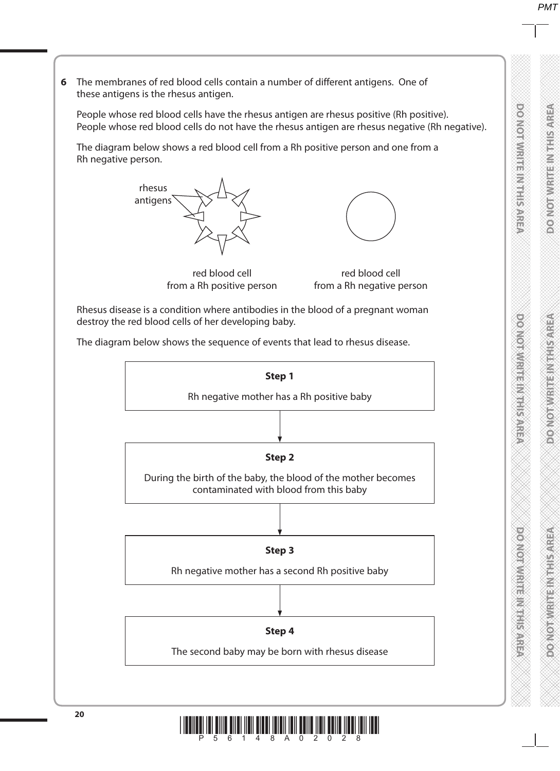*PMT*

**DO NOT WRITE IN THIS AREA** 

**DO NOIMARTE IN HIS AREA** 

**DO NOT WRITE IN THIS AREA**

**CONGRESS ENTERTAINMENTS** 

**DO NOT WRITE IN THIS AREA**

**ENVERTIMENT ENVIRONMENT** 

**PONOINHER METERS** 

**6** The membranes of red blood cells contain a number of different antigens. One of these antigens is the rhesus antigen.

People whose red blood cells have the rhesus antigen are rhesus positive (Rh positive). People whose red blood cells do not have the rhesus antigen are rhesus negative (Rh negative).

The diagram below shows a red blood cell from a Rh positive person and one from a Rh negative person.





red blood cell from a Rh positive person

red blood cell from a Rh negative person

Rhesus disease is a condition where antibodies in the blood of a pregnant woman destroy the red blood cells of her developing baby.

The diagram below shows the sequence of events that lead to rhesus disease.



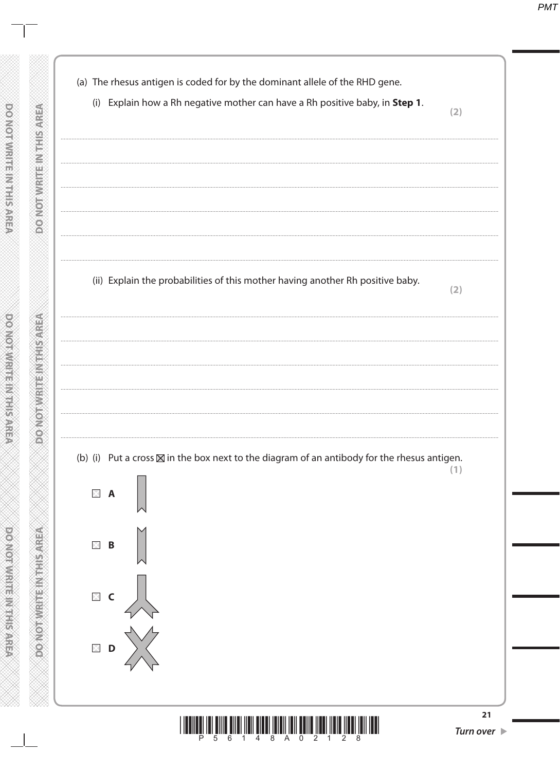

-5

**DO NOT WRITE IN THIS AREA** 

**CANCER WEEK NOTED** 

**DOMOTOWRED WEBSTARTED**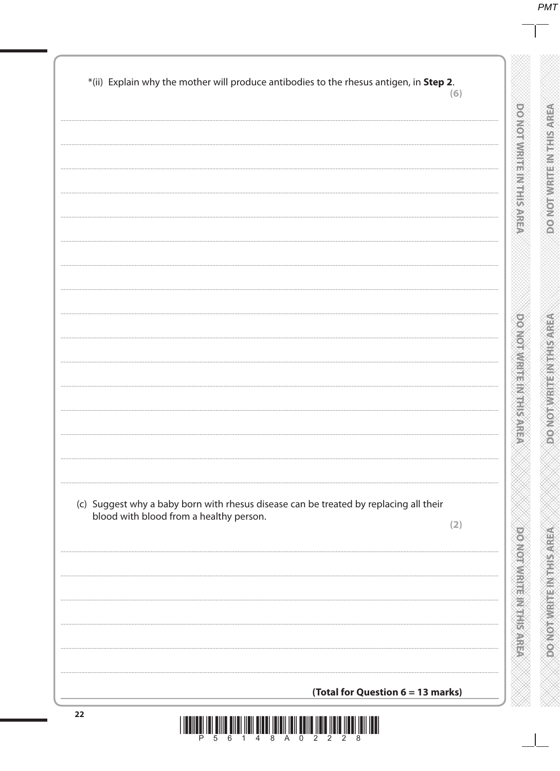| *(ii) Explain why the mother will produce antibodies to the rhesus antigen, in Step 2.                                           | (6) | provident when the them is district<br>$\frac{1}{2}$<br>ŴÎ<br>is and the control of the control of the control of the control of the control of the control of the control of the control of the control of the control of the control of the control of the control of the control of the c<br>$\frac{1}{2}$<br>$\mathbf{\Omega}$ |
|----------------------------------------------------------------------------------------------------------------------------------|-----|------------------------------------------------------------------------------------------------------------------------------------------------------------------------------------------------------------------------------------------------------------------------------------------------------------------------------------|
|                                                                                                                                  |     | <b>DOXISING</b>                                                                                                                                                                                                                                                                                                                    |
| (c) Suggest why a baby born with rhesus disease can be treated by replacing all their<br>blood with blood from a healthy person. | (2) |                                                                                                                                                                                                                                                                                                                                    |

**PMT** 

(Total for Question 6 = 13 marks)

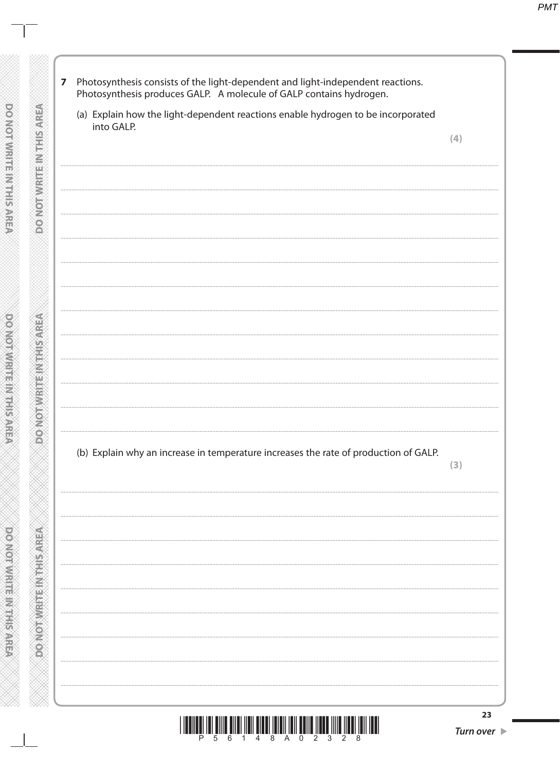|            | (a) Explain how the light-dependent reactions enable hydrogen to be incorporated     |     |
|------------|--------------------------------------------------------------------------------------|-----|
| into GALP. |                                                                                      | (4) |
|            |                                                                                      |     |
|            |                                                                                      |     |
|            |                                                                                      |     |
|            |                                                                                      |     |
|            |                                                                                      |     |
|            |                                                                                      |     |
|            |                                                                                      |     |
|            |                                                                                      |     |
|            |                                                                                      |     |
|            | (b) Explain why an increase in temperature increases the rate of production of GALP. | (3) |
|            |                                                                                      |     |
|            |                                                                                      |     |
|            |                                                                                      |     |
|            |                                                                                      |     |
|            |                                                                                      |     |
|            |                                                                                      |     |
|            |                                                                                      |     |

 $\mathbf{L}$ 

DONOTWRITE IN THIS AREA

**DOMOTIVIER INTERNATION** 

**PONOTWIRE MISSING AREA** 

e<br>Milio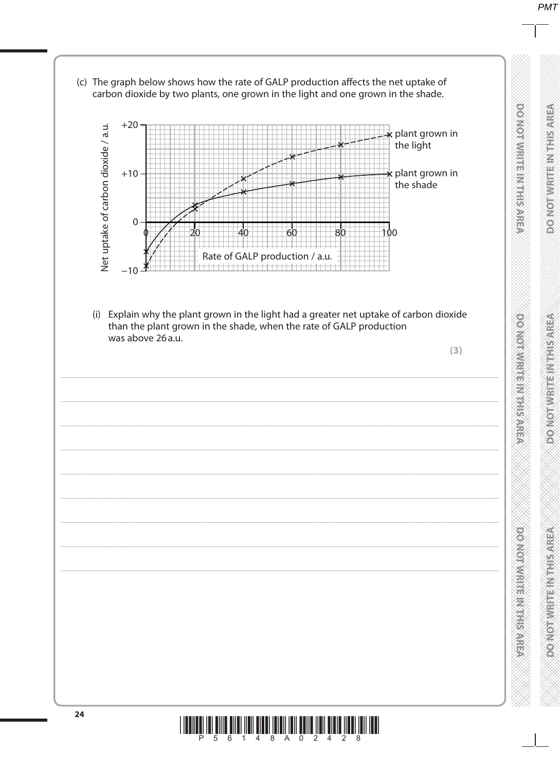

**PMT** 

**DO NOTWRITEINTH SWITCH** 

**DOMORWER STARS ARE** 

**DOALORMARY STARFSOLIO**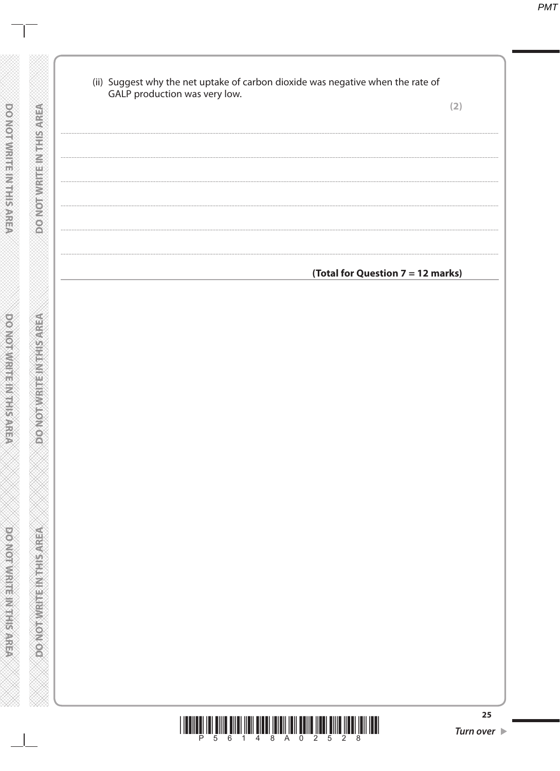| GALP production was very low.     | (ii) Suggest why the net uptake of carbon dioxide was negative when the rate of<br>(2) |
|-----------------------------------|----------------------------------------------------------------------------------------|
|                                   |                                                                                        |
|                                   |                                                                                        |
|                                   |                                                                                        |
|                                   |                                                                                        |
|                                   |                                                                                        |
|                                   |                                                                                        |
|                                   |                                                                                        |
| (Total for Question 7 = 12 marks) |                                                                                        |
|                                   |                                                                                        |
|                                   |                                                                                        |
|                                   |                                                                                        |
|                                   |                                                                                        |
|                                   |                                                                                        |
|                                   |                                                                                        |
|                                   |                                                                                        |
|                                   |                                                                                        |
|                                   |                                                                                        |
|                                   |                                                                                        |
|                                   |                                                                                        |
|                                   |                                                                                        |
|                                   |                                                                                        |
|                                   |                                                                                        |
|                                   |                                                                                        |
|                                   |                                                                                        |
|                                   |                                                                                        |
|                                   |                                                                                        |
|                                   |                                                                                        |
|                                   |                                                                                        |

DO NOT WRITE IN THIS AREA

DOCNOTIVISTICS IN THE ARBOR

**DO NOT WRITE IN THIS AREA** 

≫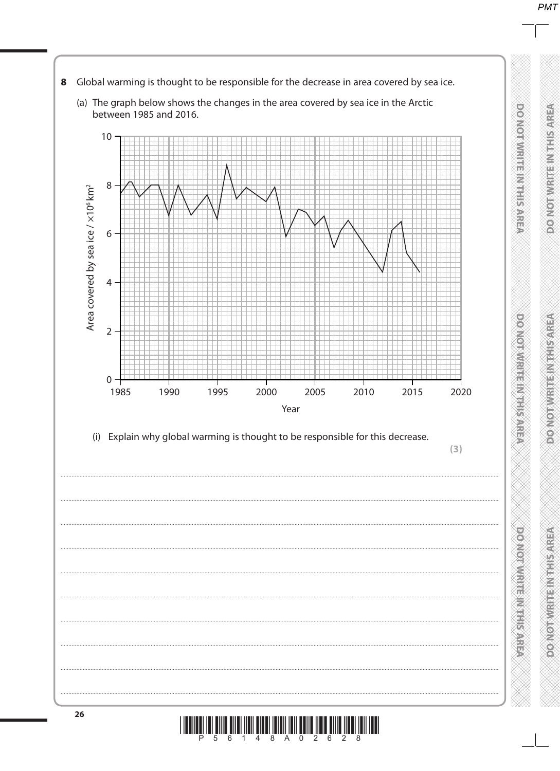

 $-0$  2 6

 $\overline{2}$ - 8

 $\overline{8}$  $A$ 

 $\overline{6}$ 

 $\overline{1}$  $\overline{4}$ 

5

**PMT**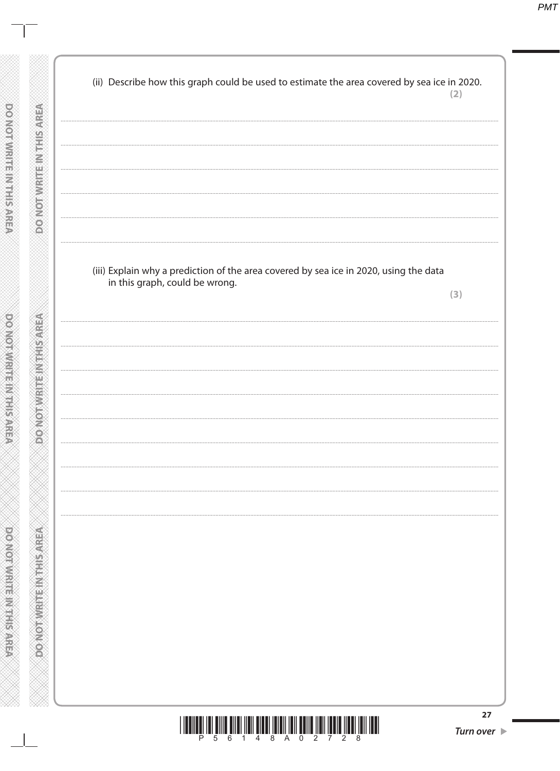(ii) Describe how this graph could be used to estimate the area covered by sea ice in 2020.  $(2)$ **DOMOTWRITEINTHISMREA** (iii) Explain why a prediction of the area covered by sea ice in 2020, using the data in this graph, could be wrong.  $(3)$ **DISTRICTION DOAORWRITENTHISMRE**  $27$ <u>||ITT||TË||ITI Ë|||ITË||ITI||ITI||TITI||TITI||TILI||TILI||TILI||TILI||TILI||TILI||SI|||TILI||</u>

**DONOTWRITE IN THIS AREA** 

**DONOTWRITEN METALSARER** 

**DO NOTAVRITE IN FIRICAREA**